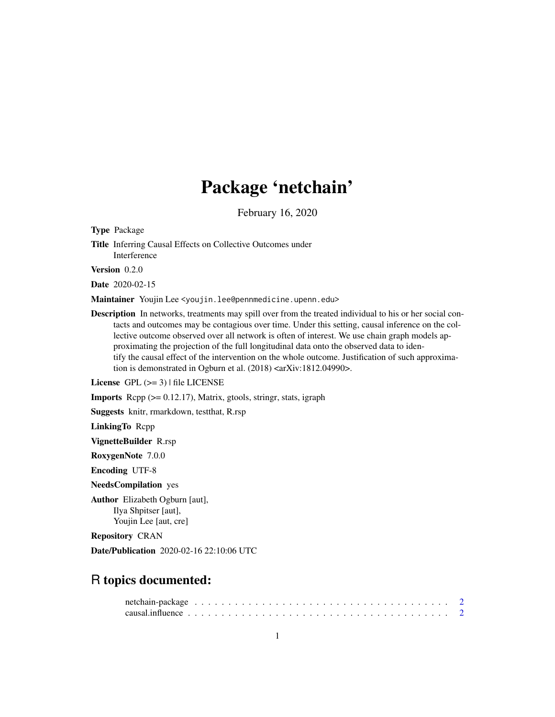# Package 'netchain'

February 16, 2020

Type Package Title Inferring Causal Effects on Collective Outcomes under Interference

Version 0.2.0

Date 2020-02-15

Maintainer Youjin Lee <youjin.lee@pennmedicine.upenn.edu>

Description In networks, treatments may spill over from the treated individual to his or her social contacts and outcomes may be contagious over time. Under this setting, causal inference on the collective outcome observed over all network is often of interest. We use chain graph models approximating the projection of the full longitudinal data onto the observed data to identify the causal effect of the intervention on the whole outcome. Justification of such approximation is demonstrated in Ogburn et al. (2018) <arXiv:1812.04990>.

License GPL  $(>= 3)$  | file LICENSE

**Imports** Rcpp  $(>= 0.12.17)$ , Matrix, gtools, stringr, stats, igraph

Suggests knitr, rmarkdown, testthat, R.rsp

LinkingTo Rcpp

VignetteBuilder R.rsp

RoxygenNote 7.0.0

Encoding UTF-8

NeedsCompilation yes

Author Elizabeth Ogburn [aut], Ilya Shpitser [aut], Youjin Lee [aut, cre]

Repository CRAN

Date/Publication 2020-02-16 22:10:06 UTC

# R topics documented: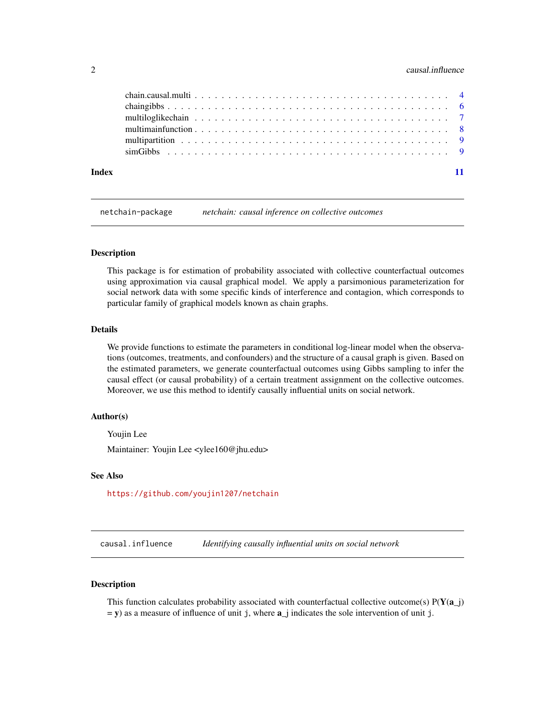#### <span id="page-1-0"></span>2 causal.influence

| Index |  |
|-------|--|

netchain-package *netchain: causal inference on collective outcomes*

#### Description

This package is for estimation of probability associated with collective counterfactual outcomes using approximation via causal graphical model. We apply a parsimonious parameterization for social network data with some specific kinds of interference and contagion, which corresponds to particular family of graphical models known as chain graphs.

#### Details

We provide functions to estimate the parameters in conditional log-linear model when the observations (outcomes, treatments, and confounders) and the structure of a causal graph is given. Based on the estimated parameters, we generate counterfactual outcomes using Gibbs sampling to infer the causal effect (or causal probability) of a certain treatment assignment on the collective outcomes. Moreover, we use this method to identify causally influential units on social network.

#### Author(s)

Youjin Lee

Maintainer: Youjin Lee <ylee160@jhu.edu>

#### See Also

<https://github.com/youjin1207/netchain>

causal.influence *Identifying causally influential units on social network*

#### Description

This function calculates probability associated with counterfactual collective outcome(s)  $P(Y(a_i))$  $=$  y) as a measure of influence of unit j, where  $a$ <sup>j</sup> indicates the sole intervention of unit j.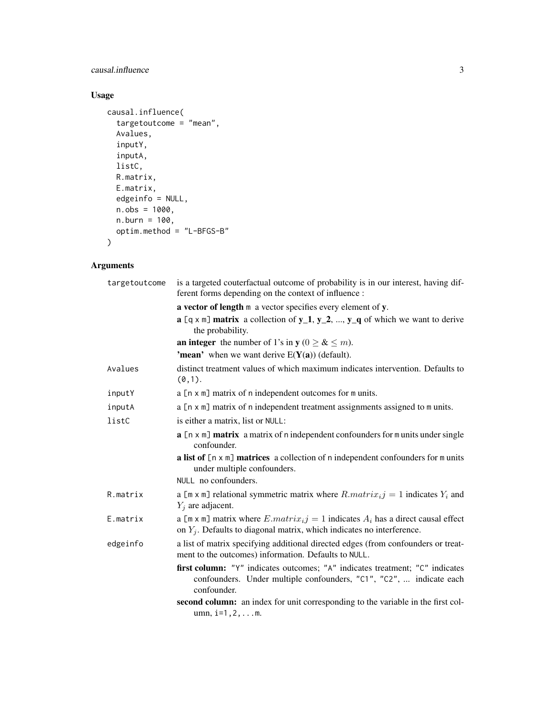# causal.influence 3

# Usage

```
causal.influence(
  targetoutcome = "mean",
  Avalues,
  inputY,
  inputA,
  listC,
  R.matrix,
  E.matrix,
  edgeinfo = NULL,
  n.obs = 1000,
  n.burn = 100,
  optim.method = "L-BFGS-B"
\mathcal{L}
```
# Arguments

| targetoutcome | is a targeted couterfactual outcome of probability is in our interest, having dif-<br>ferent forms depending on the context of influence :                         |
|---------------|--------------------------------------------------------------------------------------------------------------------------------------------------------------------|
|               | a vector of length m a vector specifies every element of y.                                                                                                        |
|               | $a$ [q x m] matrix a collection of $y_1$ , $y_2$ , , $y_q$ of which we want to derive<br>the probability.                                                          |
|               | <b>an integer</b> the number of 1's in $y$ ( $0 \ge \& \le m$ ).                                                                                                   |
|               | <b>'mean'</b> when we want derive $E(Y(a))$ (default).                                                                                                             |
| Avalues       | distinct treatment values of which maximum indicates intervention. Defaults to<br>$(0,1)$ .                                                                        |
| inputY        | a [n x m] matrix of n independent outcomes for m units.                                                                                                            |
| inputA        | a [n x m] matrix of n independent treatment assignments assigned to m units.                                                                                       |
| listC         | is either a matrix, list or NULL:                                                                                                                                  |
|               | a [n x m] matrix a matrix of n independent confounders for m units under single<br>confounder.                                                                     |
|               | a list of $[n \times m]$ matrices a collection of n independent confounders for m units<br>under multiple confounders.                                             |
|               | NULL no confounders.                                                                                                                                               |
| R.matrix      | a [m x m] relational symmetric matrix where $R_matrix_{ij} = 1$ indicates $Y_i$ and<br>$Y_i$ are adjacent.                                                         |
| E.matrix      | a [m x m] matrix where $E.matrix_i = 1$ indicates $A_i$ has a direct causal effect<br>on $Y_i$ . Defaults to diagonal matrix, which indicates no interference.     |
| edgeinfo      | a list of matrix specifying additional directed edges (from confounders or treat-<br>ment to the outcomes) information. Defaults to NULL.                          |
|               | first column: "Y" indicates outcomes; "A" indicates treatment; "C" indicates<br>confounders. Under multiple confounders, "C1", "C2",  indicate each<br>confounder. |
|               | second column: an index for unit corresponding to the variable in the first col-<br>$umn, i=1, 2, \ldots m.$                                                       |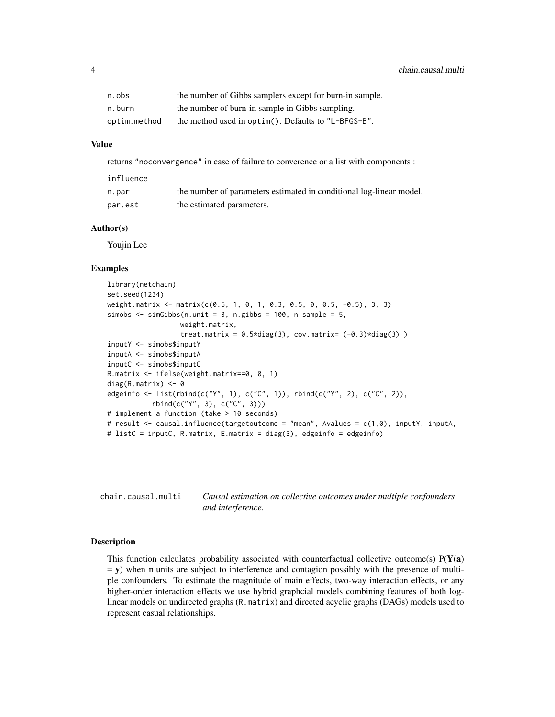<span id="page-3-0"></span>

| n.obs        | the number of Gibbs samplers except for burn-in sample. |
|--------------|---------------------------------------------------------|
| n.burn       | the number of burn-in sample in Gibbs sampling.         |
| optim.method | the method used in optim(). Defaults to "L-BFGS-B".     |

#### Value

returns "noconvergence" in case of failure to converence or a list with components :

| influence |                                                                     |
|-----------|---------------------------------------------------------------------|
| n.par     | the number of parameters estimated in conditional log-linear model. |
| par.est   | the estimated parameters.                                           |

#### Author(s)

Youjin Lee

#### Examples

```
library(netchain)
set.seed(1234)
weight.matrix <- matrix(c(0.5, 1, 0, 1, 0.3, 0.5, 0, 0.5, -0.5), 3, 3)
simobs \le simGibbs(n.unit = 3, n.gibbs = 100, n.sample = 5,
                  weight.matrix,
                  treat.matrix = 0.5 \times diag(3), cov.matrix= (-0.3) \times diag(3))
inputY <- simobs$inputY
inputA <- simobs$inputA
inputC <- simobs$inputC
R.matrix <- ifelse(weight.matrix==0, 0, 1)
diag(R.matrix) <- 0
edgeinfo <- list(rbind(c("Y", 1), c("C", 1)), rbind(c("Y", 2), c("C", 2)),
           rbind(c("Y", 3), c("C", 3)))
# implement a function (take > 10 seconds)
# result <- causal.influence(targetoutcome = "mean", Avalues = c(1,0), inputY, inputA,
# listC = inputC, R.matrix, E.matrix = diag(3), edgeinfo = edgeinfo)
```
chain.causal.multi *Causal estimation on collective outcomes under multiple confounders and interference.*

#### Description

This function calculates probability associated with counterfactual collective outcome(s)  $P(Y(a))$  $=$  y) when m units are subject to interference and contagion possibly with the presence of multiple confounders. To estimate the magnitude of main effects, two-way interaction effects, or any higher-order interaction effects we use hybrid graphcial models combining features of both loglinear models on undirected graphs (R.matrix) and directed acyclic graphs (DAGs) models used to represent casual relationships.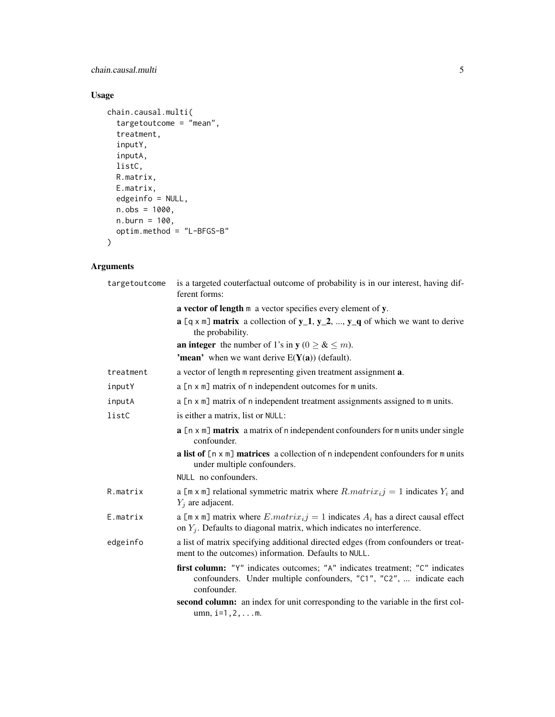# chain.causal.multi 5

# Usage

```
chain.causal.multi(
  targetoutcome = "mean",
  treatment,
  inputY,
  inputA,
  listC,
  R.matrix,
  E.matrix,
  edgeinfo = NULL,
  n.obs = 1000,
  n.burn = 100,optim.method = "L-BFGS-B"
\mathcal{L}
```
# Arguments

| targetoutcome | is a targeted couterfactual outcome of probability is in our interest, having dif-<br>ferent forms:                                                                |
|---------------|--------------------------------------------------------------------------------------------------------------------------------------------------------------------|
|               | a vector of length m a vector specifies every element of y.                                                                                                        |
|               | $a$ [q x m] matrix a collection of y_1, y_2, , y_q of which we want to derive<br>the probability.                                                                  |
|               | <b>an integer</b> the number of 1's in $y$ ( $0 \ge \& \le m$ ).                                                                                                   |
|               | <b>'mean'</b> when we want derive $E(Y(a))$ (default).                                                                                                             |
| treatment     | a vector of length m representing given treatment assignment a.                                                                                                    |
| inputY        | a [n x m] matrix of n independent outcomes for m units.                                                                                                            |
| inputA        | a [n x m] matrix of n independent treatment assignments assigned to m units.                                                                                       |
| listC         | is either a matrix, list or NULL:                                                                                                                                  |
|               | $a$ [ $n \times m$ ] matrix a matrix of n independent confounders for m units under single<br>confounder.                                                          |
|               | a list of $[n \times m]$ matrices a collection of n independent confounders for m units<br>under multiple confounders.                                             |
|               | NULL no confounders.                                                                                                                                               |
| R.matrix      | a [m x m] relational symmetric matrix where $R_matrix_{ij} = 1$ indicates $Y_i$ and<br>$Y_j$ are adjacent.                                                         |
| E.matrix      | a [m x m] matrix where $E.matrix_i = 1$ indicates $A_i$ has a direct causal effect<br>on $Y_j$ . Defaults to diagonal matrix, which indicates no interference.     |
| edgeinfo      | a list of matrix specifying additional directed edges (from confounders or treat-<br>ment to the outcomes) information. Defaults to NULL.                          |
|               | first column: "Y" indicates outcomes; "A" indicates treatment; "C" indicates<br>confounders. Under multiple confounders, "C1", "C2",  indicate each<br>confounder. |
|               | second column: an index for unit corresponding to the variable in the first col-<br>$umn, i=1, 2,  m.$                                                             |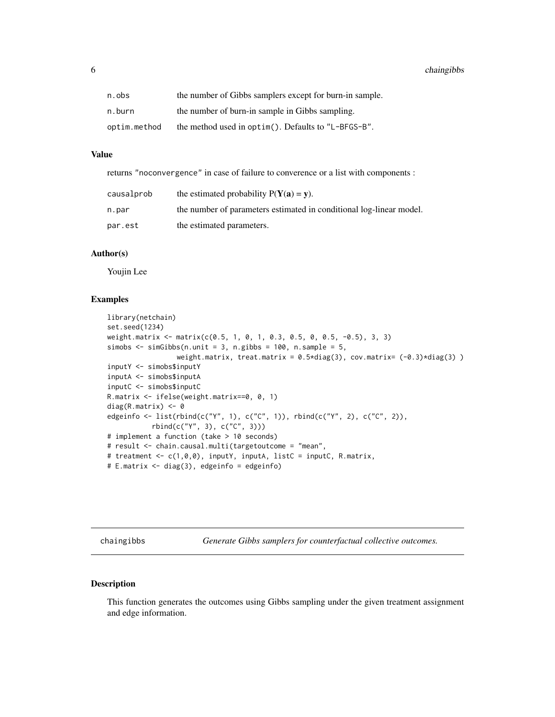<span id="page-5-0"></span>6 chaingibbs

| n.obs        | the number of Gibbs samplers except for burn-in sample. |
|--------------|---------------------------------------------------------|
| n.burn       | the number of burn-in sample in Gibbs sampling.         |
| optim.method | the method used in optim(). Defaults to "L-BFGS-B".     |

#### Value

returns "noconvergence" in case of failure to converence or a list with components :

| causalprob | the estimated probability $P(Y(a) = v)$ .                           |
|------------|---------------------------------------------------------------------|
| n.par      | the number of parameters estimated in conditional log-linear model. |
| par.est    | the estimated parameters.                                           |

#### Author(s)

Youjin Lee

# Examples

```
library(netchain)
set.seed(1234)
weight.matrix <- matrix(c(0.5, 1, 0, 1, 0.3, 0.5, 0, 0.5, -0.5), 3, 3)
simobs \le simGibbs(n.unit = 3, n.gibbs = 100, n.sample = 5,
                 weight.matrix, treat.matrix = 0.5 \star diag(3), cov.matrix= (-0.3) \star diag(3))
inputY <- simobs$inputY
inputA <- simobs$inputA
inputC <- simobs$inputC
R.matrix <- ifelse(weight.matrix==0, 0, 1)
diag(R.matrix) <- 0
edgeinfo <- list(rbind(c("Y", 1), c("C", 1)), rbind(c("Y", 2), c("C", 2)),
           rbind(c("Y", 3), c("C", 3)))
# implement a function (take > 10 seconds)
# result <- chain.causal.multi(targetoutcome = "mean",
# treatment <- c(1,0,0), inputY, inputA, listC = inputC, R.matrix,
# E.matrix <- diag(3), edgeinfo = edgeinfo)
```
chaingibbs *Generate Gibbs samplers for counterfactual collective outcomes.*

#### Description

This function generates the outcomes using Gibbs sampling under the given treatment assignment and edge information.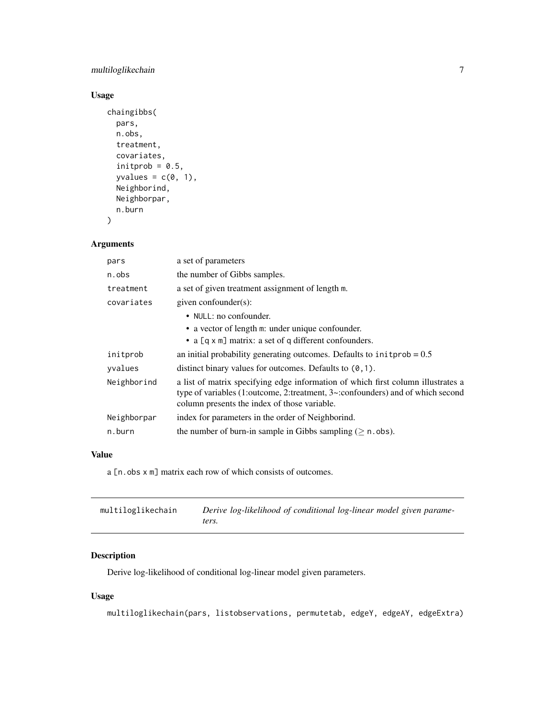# <span id="page-6-0"></span>multiloglikechain 7

# Usage

```
chaingibbs(
  pars,
  n.obs,
  treatment,
  covariates,
  initprob = 0.5,
  yvalues = c(0, 1),
  Neighborind,
  Neighborpar,
  n.burn
)
```
# Arguments

| a set of parameters                                                                                                                                                                                                                |
|------------------------------------------------------------------------------------------------------------------------------------------------------------------------------------------------------------------------------------|
| the number of Gibbs samples.                                                                                                                                                                                                       |
| a set of given treatment assignment of length m.                                                                                                                                                                                   |
| given confounder(s):                                                                                                                                                                                                               |
| • NULL: no confounder.                                                                                                                                                                                                             |
| • a vector of length m: under unique confounder.                                                                                                                                                                                   |
| • a $[q \times m]$ matrix: a set of q different confounders.                                                                                                                                                                       |
| an initial probability generating outcomes. Defaults to $initprob = 0.5$                                                                                                                                                           |
| distinct binary values for outcomes. Defaults to $(0,1)$ .                                                                                                                                                                         |
| a list of matrix specifying edge information of which first column illustrates a<br>type of variables $(1)$ : outcome, 2: treatment, $3$ $\sim$ : confounders) and of which second<br>column presents the index of those variable. |
| index for parameters in the order of Neighborind.                                                                                                                                                                                  |
| the number of burn-in sample in Gibbs sampling ( $\geq$ n. obs).                                                                                                                                                                   |
|                                                                                                                                                                                                                                    |

#### Value

a [n.obs  $x$  m] matrix each row of which consists of outcomes.

| multiloglikechain | Derive log-likelihood of conditional log-linear model given parame- |
|-------------------|---------------------------------------------------------------------|
|                   | ters.                                                               |

# Description

Derive log-likelihood of conditional log-linear model given parameters.

# Usage

multiloglikechain(pars, listobservations, permutetab, edgeY, edgeAY, edgeExtra)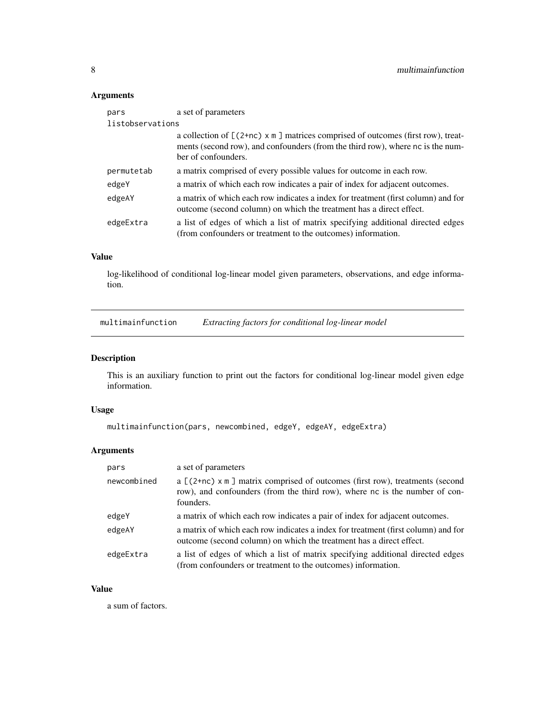# <span id="page-7-0"></span>Arguments

| pars       | a set of parameters                                                                                                                                                                             |  |  |  |  |  |  |
|------------|-------------------------------------------------------------------------------------------------------------------------------------------------------------------------------------------------|--|--|--|--|--|--|
|            | listobservations                                                                                                                                                                                |  |  |  |  |  |  |
|            | a collection of $[(2+nc) \times m]$ matrices comprised of outcomes (first row), treat-<br>ments (second row), and confounders (from the third row), where nc is the num-<br>ber of confounders. |  |  |  |  |  |  |
| permutetab | a matrix comprised of every possible values for outcome in each row.                                                                                                                            |  |  |  |  |  |  |
| edgeY      | a matrix of which each row indicates a pair of index for adjacent outcomes.                                                                                                                     |  |  |  |  |  |  |
| edgeAY     | a matrix of which each row indicates a index for treatment (first column) and for<br>outcome (second column) on which the treatment has a direct effect.                                        |  |  |  |  |  |  |
| edgeExtra  | a list of edges of which a list of matrix specifying additional directed edges<br>(from confounders or treatment to the outcomes) information.                                                  |  |  |  |  |  |  |

# Value

log-likelihood of conditional log-linear model given parameters, observations, and edge information.

multimainfunction *Extracting factors for conditional log-linear model*

# Description

This is an auxiliary function to print out the factors for conditional log-linear model given edge information.

# Usage

```
multimainfunction(pars, newcombined, edgeY, edgeAY, edgeExtra)
```
# Arguments

| pars        | a set of parameters                                                                                                                                                           |
|-------------|-------------------------------------------------------------------------------------------------------------------------------------------------------------------------------|
| newcombined | a $[(2+nc) \times m]$ matrix comprised of outcomes (first row), treatments (second<br>row), and confounders (from the third row), where nc is the number of con-<br>founders. |
| edgeY       | a matrix of which each row indicates a pair of index for adjacent outcomes.                                                                                                   |
| edgeAY      | a matrix of which each row indicates a index for treatment (first column) and for<br>outcome (second column) on which the treatment has a direct effect.                      |
| edgeExtra   | a list of edges of which a list of matrix specifying additional directed edges<br>(from confounders or treatment to the outcomes) information.                                |

# Value

a sum of factors.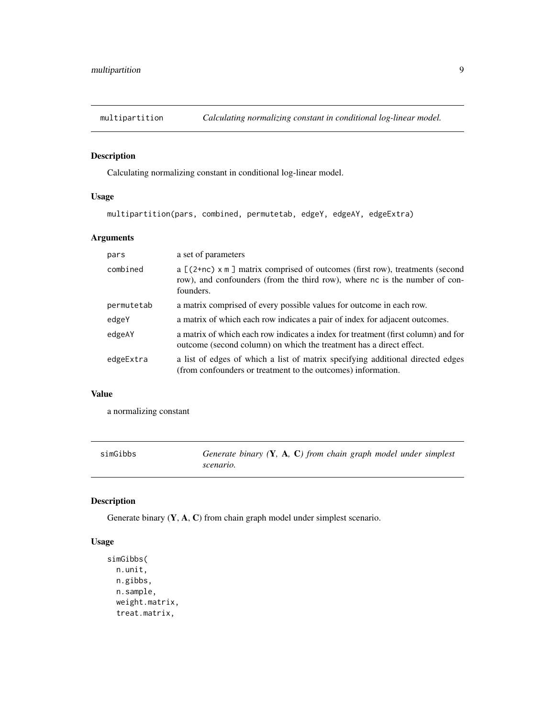<span id="page-8-0"></span>

# Description

Calculating normalizing constant in conditional log-linear model.

# Usage

```
multipartition(pars, combined, permutetab, edgeY, edgeAY, edgeExtra)
```
# Arguments

| pars       | a set of parameters                                                                                                                                                           |
|------------|-------------------------------------------------------------------------------------------------------------------------------------------------------------------------------|
| combined   | a $[(2+nc) \times m]$ matrix comprised of outcomes (first row), treatments (second<br>row), and confounders (from the third row), where nc is the number of con-<br>founders. |
| permutetab | a matrix comprised of every possible values for outcome in each row.                                                                                                          |
| edgeY      | a matrix of which each row indicates a pair of index for adjacent outcomes.                                                                                                   |
| edgeAY     | a matrix of which each row indicates a index for treatment (first column) and for<br>outcome (second column) on which the treatment has a direct effect.                      |
| edgeExtra  | a list of edges of which a list of matrix specifying additional directed edges<br>(from confounders or treatment to the outcomes) information.                                |

#### Value

a normalizing constant

| simGibbs | Generate binary $(Y, A, C)$ from chain graph model under simplest |
|----------|-------------------------------------------------------------------|
|          | scenario.                                                         |

# Description

Generate binary (Y, A, C) from chain graph model under simplest scenario.

# Usage

```
simGibbs(
 n.unit,
 n.gibbs,
 n.sample,
 weight.matrix,
  treat.matrix,
```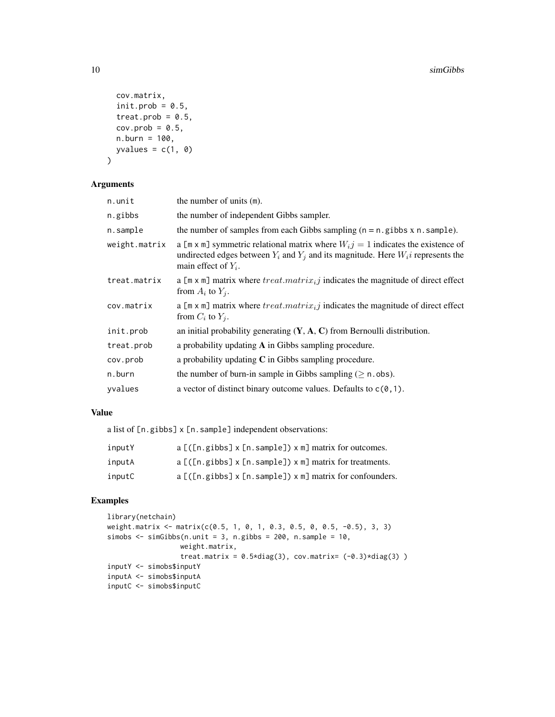```
cov.matrix,
  init.prob = 0.5,
  treat.prob = 0.5,
 cov.prob = 0.5,
 n.burn = 100,
 yvalues = c(1, 0)\mathcal{E}
```
# Arguments

| n.unit        | the number of units (m).                                                                                                                                                                                |
|---------------|---------------------------------------------------------------------------------------------------------------------------------------------------------------------------------------------------------|
| n.gibbs       | the number of independent Gibbs sampler.                                                                                                                                                                |
| n.sample      | the number of samples from each Gibbs sampling $(n = n$ . gibbs $x$ n. sample).                                                                                                                         |
| weight.matrix | a [m x m] symmetric relational matrix where $W_{i,j} = 1$ indicates the existence of<br>undirected edges between $Y_i$ and $Y_j$ and its magnitude. Here $W_i$ represents the<br>main effect of $Y_i$ . |
| treat.matrix  | a [m x m] matrix where treat.matrix <sub>i</sub> j indicates the magnitude of direct effect<br>from $A_i$ to $Y_i$ .                                                                                    |
| cov.matrix    | a $[\mathbf{m} \times \mathbf{m}]$ matrix where $treat.matrix_i j$ indicates the magnitude of direct effect<br>from $C_i$ to $Y_i$ .                                                                    |
| init.prob     | an initial probability generating $(Y, A, C)$ from Bernoulli distribution.                                                                                                                              |
| treat.prob    | a probability updating $A$ in Gibbs sampling procedure.                                                                                                                                                 |
| cov.prob      | a probability updating $C$ in Gibbs sampling procedure.                                                                                                                                                 |
| n.burn        | the number of burn-in sample in Gibbs sampling ( $\geq$ n. obs).                                                                                                                                        |
| yvalues       | a vector of distinct binary outcome values. Defaults to $c(0,1)$ .                                                                                                                                      |

#### Value

a list of [n.gibbs] x [n.sample] independent observations:

| inputY | $a \lfloor (\lfloor n \cdot g \rfloor) \rfloor \times \lfloor n \cdot s \rfloor$ and $m \lfloor n \cdot g \rfloor$ and $m \lfloor n \cdot g \rfloor$ and $m \lfloor g \rfloor$ |
|--------|--------------------------------------------------------------------------------------------------------------------------------------------------------------------------------|
| inputA | $a \lfloor (\lfloor n \cdot g \rfloor) \rfloor \times \lfloor n \cdot g \rfloor$ and $\lfloor n \rfloor$ x m matrix for treatments.                                            |
| inputC | $a$ [([n.gibbs] x [n.sample]) x m] matrix for confounders.                                                                                                                     |

# Examples

```
library(netchain)
weight.matrix <- matrix(c(0.5, 1, 0, 1, 0.3, 0.5, 0, 0.5, -0.5), 3, 3)
simobs \le simGibbs(n.unit = 3, n.gibbs = 200, n.sample = 10,
                  weight.matrix,
                  treat.matrix = 0.5 \star diag(3), cov.matrix= (-0.3) \star diag(3))
inputY <- simobs$inputY
inputA <- simobs$inputA
inputC <- simobs$inputC
```